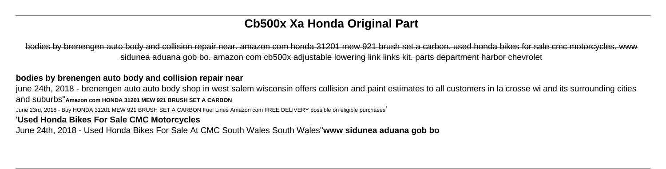# **Cb500x Xa Honda Original Part**

bodies by brenengen auto body and collision repair near. amazon com honda 31201 mew 921 brush set a carbon. used honda bikes for sale cmc motorcycles. www sidunea aduana gob bo. amazon com cb500x adjustable lowering link links kit. parts department harbor chevrolet

### **bodies by brenengen auto body and collision repair near**

june 24th, 2018 - brenengen auto auto body shop in west salem wisconsin offers collision and paint estimates to all customers in la crosse wi and its surrounding cities and suburbs''**Amazon com HONDA 31201 MEW 921 BRUSH SET A CARBON**

June 23rd, 2018 - Buy HONDA 31201 MEW 921 BRUSH SET A CARBON Fuel Lines Amazon com FREE DELIVERY possible on eligible purchases'

## '**Used Honda Bikes For Sale CMC Motorcycles**

June 24th, 2018 - Used Honda Bikes For Sale At CMC South Wales South Wales''**www sidunea aduana gob bo**